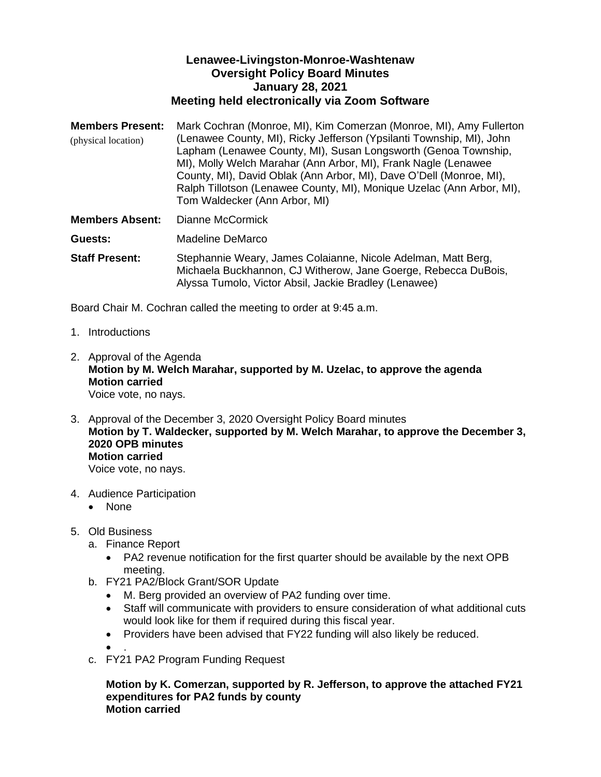## **Lenawee-Livingston-Monroe-Washtenaw Oversight Policy Board Minutes January 28, 2021 Meeting held electronically via Zoom Software**

**Members Present:** Mark Cochran (Monroe, MI), Kim Comerzan (Monroe, MI), Amy Fullerton (Lenawee County, MI), Ricky Jefferson (Ypsilanti Township, MI), John Lapham (Lenawee County, MI), Susan Longsworth (Genoa Township, MI), Molly Welch Marahar (Ann Arbor, MI), Frank Nagle (Lenawee County, MI), David Oblak (Ann Arbor, MI), Dave O'Dell (Monroe, MI), Ralph Tillotson (Lenawee County, MI), Monique Uzelac (Ann Arbor, MI), Tom Waldecker (Ann Arbor, MI) (physical location)

**Members Absent:** Dianne McCormick

**Guests:** Madeline DeMarco

**Staff Present:** Stephannie Weary, James Colaianne, Nicole Adelman, Matt Berg, Michaela Buckhannon, CJ Witherow, Jane Goerge, Rebecca DuBois, Alyssa Tumolo, Victor Absil, Jackie Bradley (Lenawee)

Board Chair M. Cochran called the meeting to order at 9:45 a.m.

- 1. Introductions
- 2. Approval of the Agenda **Motion by M. Welch Marahar, supported by M. Uzelac, to approve the agenda Motion carried** Voice vote, no nays.
- 3. Approval of the December 3, 2020 Oversight Policy Board minutes **Motion by T. Waldecker, supported by M. Welch Marahar, to approve the December 3, 2020 OPB minutes Motion carried** Voice vote, no nays.
- 4. Audience Participation
	- None
- 5. Old Business
	- a. Finance Report
		- PA2 revenue notification for the first quarter should be available by the next OPB meeting.
	- b. FY21 PA2/Block Grant/SOR Update
		- M. Berg provided an overview of PA2 funding over time.
		- Staff will communicate with providers to ensure consideration of what additional cuts would look like for them if required during this fiscal year.
		- Providers have been advised that FY22 funding will also likely be reduced.

• .

c. FY21 PA2 Program Funding Request

**Motion by K. Comerzan, supported by R. Jefferson, to approve the attached FY21 expenditures for PA2 funds by county Motion carried**